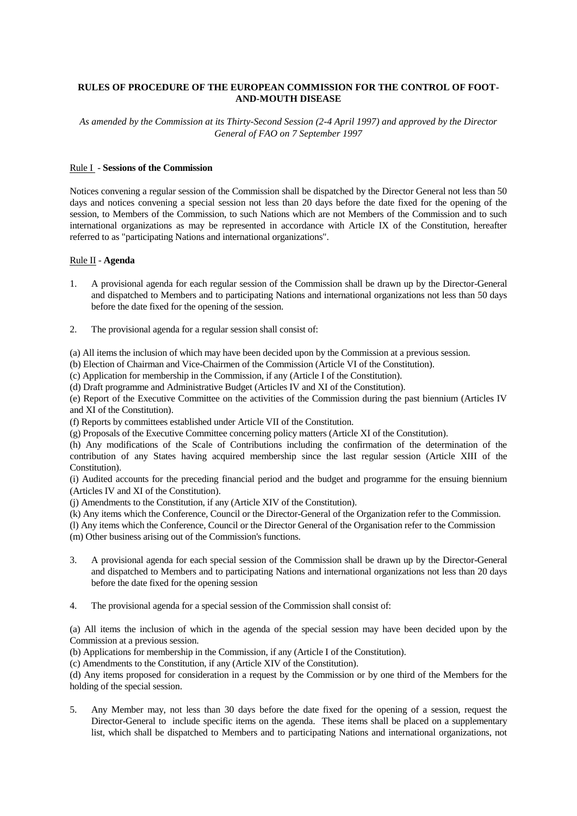# **RULES OF PROCEDURE OF THE EUROPEAN COMMISSION FOR THE CONTROL OF FOOT-AND-MOUTH DISEASE**

*As amended by the Commission at its Thirty-Second Session (2-4 April 1997) and approved by the Director General of FAO on 7 September 1997*

## Rule I - **Sessions of the Commission**

Notices convening a regular session of the Commission shall be dispatched by the Director General not less than 50 days and notices convening a special session not less than 20 days before the date fixed for the opening of the session, to Members of the Commission, to such Nations which are not Members of the Commission and to such international organizations as may be represented in accordance with Article IX of the Constitution, hereafter referred to as "participating Nations and international organizations".

## Rule II - **Agenda**

- 1. A provisional agenda for each regular session of the Commission shall be drawn up by the Director-General and dispatched to Members and to participating Nations and international organizations not less than 50 days before the date fixed for the opening of the session.
- 2. The provisional agenda for a regular session shall consist of:

(a) All items the inclusion of which may have been decided upon by the Commission at a previous session.

(b) Election of Chairman and Vice-Chairmen of the Commission (Article VI of the Constitution).

(c) Application for membership in the Commission, if any (Article I of the Constitution).

(d) Draft programme and Administrative Budget (Articles IV and XI of the Constitution).

(e) Report of the Executive Committee on the activities of the Commission during the past biennium (Articles IV and XI of the Constitution).

(f) Reports by committees established under Article VII of the Constitution.

(g) Proposals of the Executive Committee concerning policy matters (Article XI of the Constitution).

(h) Any modifications of the Scale of Contributions including the confirmation of the determination of the contribution of any States having acquired membership since the last regular session (Article XIII of the Constitution).

(i) Audited accounts for the preceding financial period and the budget and programme for the ensuing biennium (Articles IV and XI of the Constitution).

(j) Amendments to the Constitution, if any (Article XIV of the Constitution).

(k) Any items which the Conference, Council or the Director-General of the Organization refer to the Commission.

(l) Any items which the Conference, Council or the Director General of the Organisation refer to the Commission (m) Other business arising out of the Commission's functions.

- 3. A provisional agenda for each special session of the Commission shall be drawn up by the Director-General and dispatched to Members and to participating Nations and international organizations not less than 20 days before the date fixed for the opening session
- 4. The provisional agenda for a special session of the Commission shall consist of:

(a) All items the inclusion of which in the agenda of the special session may have been decided upon by the Commission at a previous session.

(b) Applications for membership in the Commission, if any (Article I of the Constitution).

(c) Amendments to the Constitution, if any (Article XIV of the Constitution).

(d) Any items proposed for consideration in a request by the Commission or by one third of the Members for the holding of the special session.

5. Any Member may, not less than 30 days before the date fixed for the opening of a session, request the Director-General to include specific items on the agenda. These items shall be placed on a supplementary list, which shall be dispatched to Members and to participating Nations and international organizations, not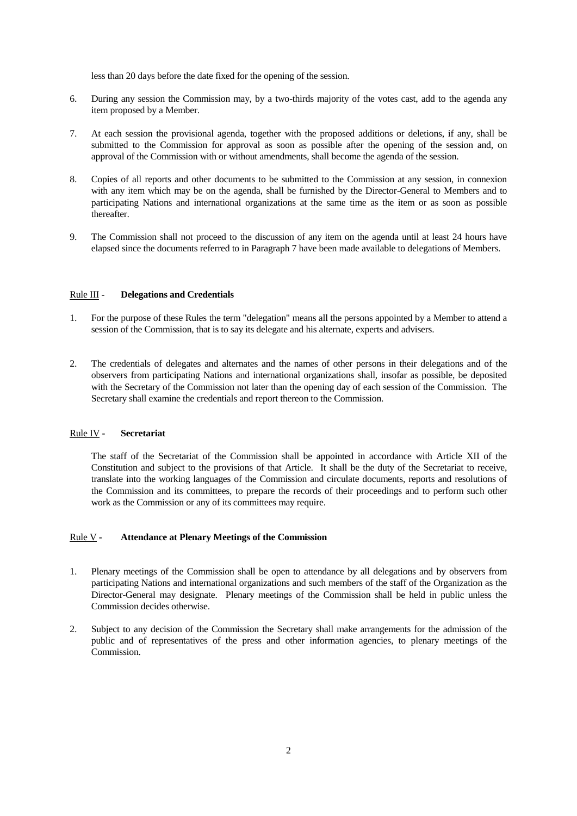less than 20 days before the date fixed for the opening of the session.

- 6. During any session the Commission may, by a two-thirds majority of the votes cast, add to the agenda any item proposed by a Member.
- 7. At each session the provisional agenda, together with the proposed additions or deletions, if any, shall be submitted to the Commission for approval as soon as possible after the opening of the session and, on approval of the Commission with or without amendments, shall become the agenda of the session.
- 8. Copies of all reports and other documents to be submitted to the Commission at any session, in connexion with any item which may be on the agenda, shall be furnished by the Director-General to Members and to participating Nations and international organizations at the same time as the item or as soon as possible thereafter.
- 9. The Commission shall not proceed to the discussion of any item on the agenda until at least 24 hours have elapsed since the documents referred to in Paragraph 7 have been made available to delegations of Members.

## Rule III **- Delegations and Credentials**

- 1. For the purpose of these Rules the term "delegation" means all the persons appointed by a Member to attend a session of the Commission, that is to say its delegate and his alternate, experts and advisers.
- 2. The credentials of delegates and alternates and the names of other persons in their delegations and of the observers from participating Nations and international organizations shall, insofar as possible, be deposited with the Secretary of the Commission not later than the opening day of each session of the Commission. The Secretary shall examine the credentials and report thereon to the Commission.

## Rule IV **- Secretariat**

The staff of the Secretariat of the Commission shall be appointed in accordance with Article XII of the Constitution and subject to the provisions of that Article. It shall be the duty of the Secretariat to receive, translate into the working languages of the Commission and circulate documents, reports and resolutions of the Commission and its committees, to prepare the records of their proceedings and to perform such other work as the Commission or any of its committees may require.

# Rule V **- Attendance at Plenary Meetings of the Commission**

- 1. Plenary meetings of the Commission shall be open to attendance by all delegations and by observers from participating Nations and international organizations and such members of the staff of the Organization as the Director-General may designate. Plenary meetings of the Commission shall be held in public unless the Commission decides otherwise.
- 2. Subject to any decision of the Commission the Secretary shall make arrangements for the admission of the public and of representatives of the press and other information agencies, to plenary meetings of the Commission.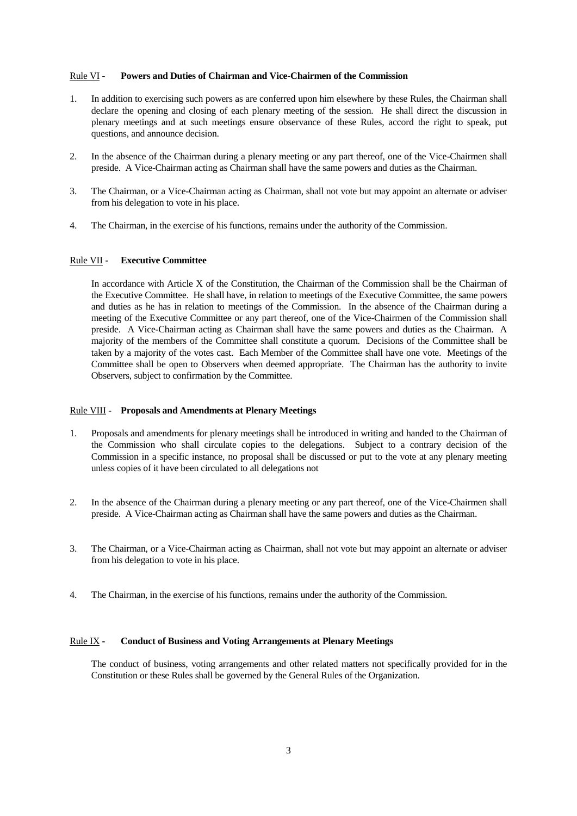## Rule VI **- Powers and Duties of Chairman and Vice-Chairmen of the Commission**

- 1. In addition to exercising such powers as are conferred upon him elsewhere by these Rules, the Chairman shall declare the opening and closing of each plenary meeting of the session. He shall direct the discussion in plenary meetings and at such meetings ensure observance of these Rules, accord the right to speak, put questions, and announce decision.
- 2. In the absence of the Chairman during a plenary meeting or any part thereof, one of the Vice-Chairmen shall preside. A Vice-Chairman acting as Chairman shall have the same powers and duties as the Chairman.
- 3. The Chairman, or a Vice-Chairman acting as Chairman, shall not vote but may appoint an alternate or adviser from his delegation to vote in his place.
- 4. The Chairman, in the exercise of his functions, remains under the authority of the Commission.

#### Rule VII **- Executive Committee**

In accordance with Article X of the Constitution, the Chairman of the Commission shall be the Chairman of the Executive Committee. He shall have, in relation to meetings of the Executive Committee, the same powers and duties as he has in relation to meetings of the Commission. In the absence of the Chairman during a meeting of the Executive Committee or any part thereof, one of the Vice-Chairmen of the Commission shall preside. A Vice-Chairman acting as Chairman shall have the same powers and duties as the Chairman. A majority of the members of the Committee shall constitute a quorum. Decisions of the Committee shall be taken by a majority of the votes cast. Each Member of the Committee shall have one vote. Meetings of the Committee shall be open to Observers when deemed appropriate. The Chairman has the authority to invite Observers, subject to confirmation by the Committee.

#### Rule VIII **- Proposals and Amendments at Plenary Meetings**

- 1. Proposals and amendments for plenary meetings shall be introduced in writing and handed to the Chairman of the Commission who shall circulate copies to the delegations. Subject to a contrary decision of the Commission in a specific instance, no proposal shall be discussed or put to the vote at any plenary meeting unless copies of it have been circulated to all delegations not
- 2. In the absence of the Chairman during a plenary meeting or any part thereof, one of the Vice-Chairmen shall preside. A Vice-Chairman acting as Chairman shall have the same powers and duties as the Chairman.
- 3. The Chairman, or a Vice-Chairman acting as Chairman, shall not vote but may appoint an alternate or adviser from his delegation to vote in his place.
- 4. The Chairman, in the exercise of his functions, remains under the authority of the Commission.

#### Rule IX **- Conduct of Business and Voting Arrangements at Plenary Meetings**

The conduct of business, voting arrangements and other related matters not specifically provided for in the Constitution or these Rules shall be governed by the General Rules of the Organization.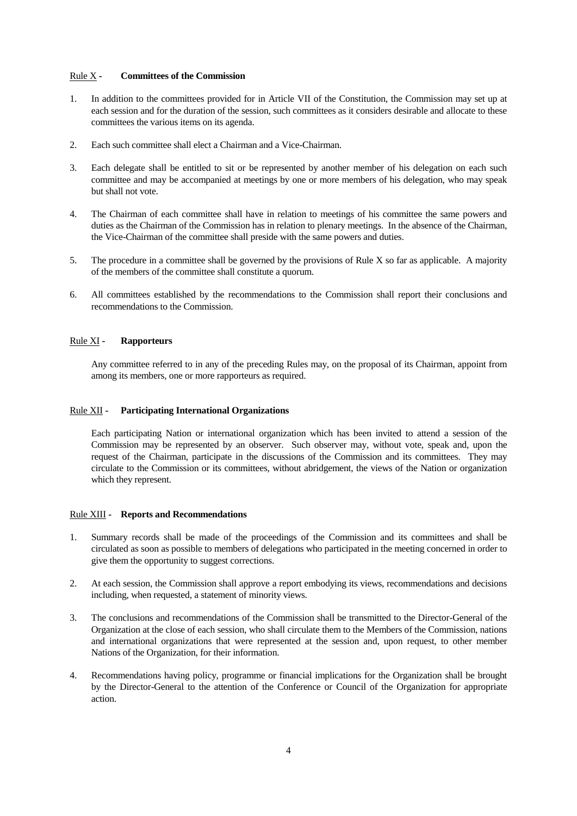## Rule X **- Committees of the Commission**

- 1. In addition to the committees provided for in Article VII of the Constitution, the Commission may set up at each session and for the duration of the session, such committees as it considers desirable and allocate to these committees the various items on its agenda.
- 2. Each such committee shall elect a Chairman and a Vice-Chairman.
- 3. Each delegate shall be entitled to sit or be represented by another member of his delegation on each such committee and may be accompanied at meetings by one or more members of his delegation, who may speak but shall not vote.
- 4. The Chairman of each committee shall have in relation to meetings of his committee the same powers and duties as the Chairman of the Commission has in relation to plenary meetings. In the absence of the Chairman, the Vice-Chairman of the committee shall preside with the same powers and duties.
- 5. The procedure in a committee shall be governed by the provisions of Rule X so far as applicable. A majority of the members of the committee shall constitute a quorum.
- 6. All committees established by the recommendations to the Commission shall report their conclusions and recommendations to the Commission.

## Rule XI **- Rapporteurs**

Any committee referred to in any of the preceding Rules may, on the proposal of its Chairman, appoint from among its members, one or more rapporteurs as required.

#### Rule XII **- Participating International Organizations**

Each participating Nation or international organization which has been invited to attend a session of the Commission may be represented by an observer. Such observer may, without vote, speak and, upon the request of the Chairman, participate in the discussions of the Commission and its committees. They may circulate to the Commission or its committees, without abridgement, the views of the Nation or organization which they represent.

### Rule XIII **- Reports and Recommendations**

- 1. Summary records shall be made of the proceedings of the Commission and its committees and shall be circulated as soon as possible to members of delegations who participated in the meeting concerned in order to give them the opportunity to suggest corrections.
- 2. At each session, the Commission shall approve a report embodying its views, recommendations and decisions including, when requested, a statement of minority views.
- 3. The conclusions and recommendations of the Commission shall be transmitted to the Director-General of the Organization at the close of each session, who shall circulate them to the Members of the Commission, nations and international organizations that were represented at the session and, upon request, to other member Nations of the Organization, for their information.
- 4. Recommendations having policy, programme or financial implications for the Organization shall be brought by the Director-General to the attention of the Conference or Council of the Organization for appropriate action.